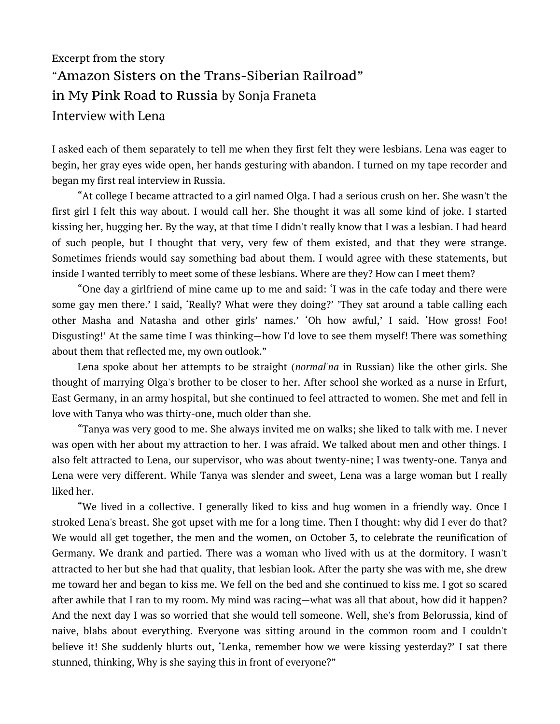## Excerpt from the story "Amazon Sisters on the Trans-Siberian Railroad" in My Pink Road to Russia by Sonja Franeta Interview with Lena

I asked each of them separately to tell me when they first felt they were lesbians. Lena was eager to begin, her gray eyes wide open, her hands gesturing with abandon. I turned on my tape recorder and began my first real interview in Russia.

"At college I became attracted to a girl named Olga. I had a serious crush on her. She wasn't the first girl I felt this way about. I would call her. She thought it was all some kind of joke. I started kissing her, hugging her. By the way, at that time I didn't really know that I was a lesbian. I had heard of such people, but I thought that very, very few of them existed, and that they were strange. Sometimes friends would say something bad about them. I would agree with these statements, but inside I wanted terribly to meet some of these lesbians. Where are they? How can I meet them?

"One day a girlfriend of mine came up to me and said: 'I was in the cafe today and there were some gay men there.' I said, 'Really? What were they doing?' 'They sat around a table calling each other Masha and Natasha and other girls' names.' 'Oh how awful,' I said. 'How gross! Foo! Disgusting!' At the same time I was thinking—how I'd love to see them myself! There was something about them that reflected me, my own outlook."

Lena spoke about her attempts to be straight (*normal'na* in Russian) like the other girls. She thought of marrying Olga's brother to be closer to her. After school she worked as a nurse in Erfurt, East Germany, in an army hospital, but she continued to feel attracted to women. She met and fell in love with Tanya who was thirty-one, much older than she.

"Tanya was very good to me. She always invited me on walks; she liked to talk with me. I never was open with her about my attraction to her. I was afraid. We talked about men and other things. I also felt attracted to Lena, our supervisor, who was about twenty-nine; I was twenty-one. Tanya and Lena were very different. While Tanya was slender and sweet, Lena was a large woman but I really liked her.

"We lived in a collective. I generally liked to kiss and hug women in a friendly way. Once I stroked Lena's breast. She got upset with me for a long time. Then I thought: why did I ever do that? We would all get together, the men and the women, on October 3, to celebrate the reunification of Germany. We drank and partied. There was a woman who lived with us at the dormitory. I wasn't attracted to her but she had that quality, that lesbian look. After the party she was with me, she drew me toward her and began to kiss me. We fell on the bed and she continued to kiss me. I got so scared after awhile that I ran to my room. My mind was racing—what was all that about, how did it happen? And the next day I was so worried that she would tell someone. Well, she's from Belorussia, kind of naive, blabs about everything. Everyone was sitting around in the common room and I couldn't believe it! She suddenly blurts out, 'Lenka, remember how we were kissing yesterday?' I sat there stunned, thinking, Why is she saying this in front of everyone?"